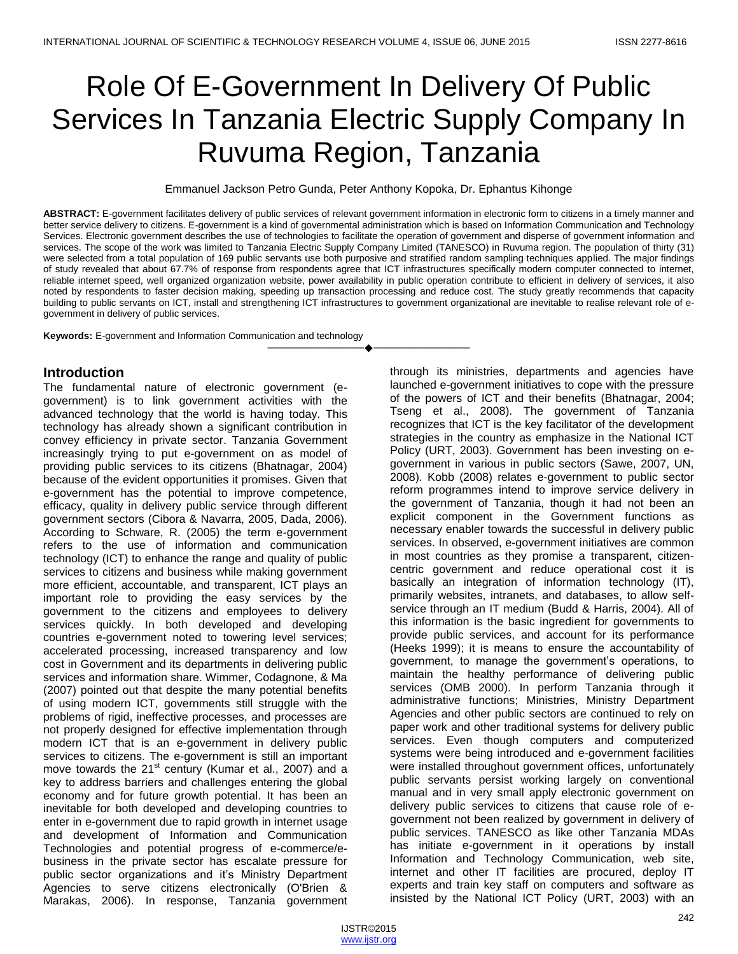# Role Of E-Government In Delivery Of Public Services In Tanzania Electric Supply Company In Ruvuma Region, Tanzania

Emmanuel Jackson Petro Gunda, Peter Anthony Kopoka, Dr. Ephantus Kihonge

**ABSTRACT:** E-government facilitates delivery of public services of relevant government information in electronic form to citizens in a timely manner and better service delivery to citizens. E-government is a kind of governmental administration which is based on Information Communication and Technology Services. Electronic government describes the use of technologies to facilitate the operation of government and disperse of government information and services. The scope of the work was limited to Tanzania Electric Supply Company Limited (TANESCO) in Ruvuma region. The population of thirty (31) were selected from a total population of 169 public servants use both purposive and stratified random sampling techniques applied. The major findings of study revealed that about 67.7% of response from respondents agree that ICT infrastructures specifically modern computer connected to internet, reliable internet speed, well organized organization website, power availability in public operation contribute to efficient in delivery of services, it also noted by respondents to faster decision making, speeding up transaction processing and reduce cost. The study greatly recommends that capacity building to public servants on ICT, install and strengthening ICT infrastructures to government organizational are inevitable to realise relevant role of egovernment in delivery of public services.

————————————————————

**Keywords:** E-government and Information Communication and technology

### **Introduction**

The fundamental nature of electronic government (egovernment) is to link government activities with the advanced technology that the world is having today. This technology has already shown a significant contribution in convey efficiency in private sector. Tanzania Government increasingly trying to put e-government on as model of providing public services to its citizens (Bhatnagar, 2004) because of the evident opportunities it promises. Given that e-government has the potential to improve competence, efficacy, quality in delivery public service through different government sectors (Cibora & Navarra, 2005, Dada, 2006). According to Schware, R. (2005) the term e-government refers to the use of information and communication technology (ICT) to enhance the range and quality of public services to citizens and business while making government more efficient, accountable, and transparent, ICT plays an important role to providing the easy services by the government to the citizens and employees to delivery services quickly. In both developed and developing countries e-government noted to towering level services; accelerated processing, increased transparency and low cost in Government and its departments in delivering public services and information share. Wimmer, Codagnone, & Ma (2007) pointed out that despite the many potential benefits of using modern ICT, governments still struggle with the problems of rigid, ineffective processes, and processes are not properly designed for effective implementation through modern ICT that is an e-government in delivery public services to citizens. The e-government is still an important move towards the  $21<sup>st</sup>$  century (Kumar et al., 2007) and a key to address barriers and challenges entering the global economy and for future growth potential. It has been an inevitable for both developed and developing countries to enter in e-government due to rapid growth in internet usage and development of Information and Communication Technologies and potential progress of e-commerce/ebusiness in the private sector has escalate pressure for public sector organizations and it's Ministry Department Agencies to serve citizens electronically (O'Brien & Marakas, 2006). In response, Tanzania government

through its ministries, departments and agencies have launched e-government initiatives to cope with the pressure of the powers of ICT and their benefits (Bhatnagar, 2004; Tseng et al., 2008). The government of Tanzania recognizes that ICT is the key facilitator of the development strategies in the country as emphasize in the National ICT Policy (URT, 2003). Government has been investing on egovernment in various in public sectors (Sawe, 2007, UN, 2008). Kobb (2008) relates e-government to public sector reform programmes intend to improve service delivery in the government of Tanzania, though it had not been an explicit component in the Government functions as necessary enabler towards the successful in delivery public services. In observed, e-government initiatives are common in most countries as they promise a transparent, citizencentric government and reduce operational cost it is basically an integration of information technology (IT), primarily websites, intranets, and databases, to allow selfservice through an IT medium (Budd & Harris, 2004). All of this information is the basic ingredient for governments to provide public services, and account for its performance (Heeks 1999); it is means to ensure the accountability of government, to manage the government's operations, to maintain the healthy performance of delivering public services (OMB 2000). In perform Tanzania through it administrative functions; Ministries, Ministry Department Agencies and other public sectors are continued to rely on paper work and other traditional systems for delivery public services. Even though computers and computerized systems were being introduced and e-government facilities were installed throughout government offices, unfortunately public servants persist working largely on conventional manual and in very small apply electronic government on delivery public services to citizens that cause role of egovernment not been realized by government in delivery of public services. TANESCO as like other Tanzania MDAs has initiate e-government in it operations by install Information and Technology Communication, web site, internet and other IT facilities are procured, deploy IT experts and train key staff on computers and software as insisted by the National ICT Policy (URT, 2003) with an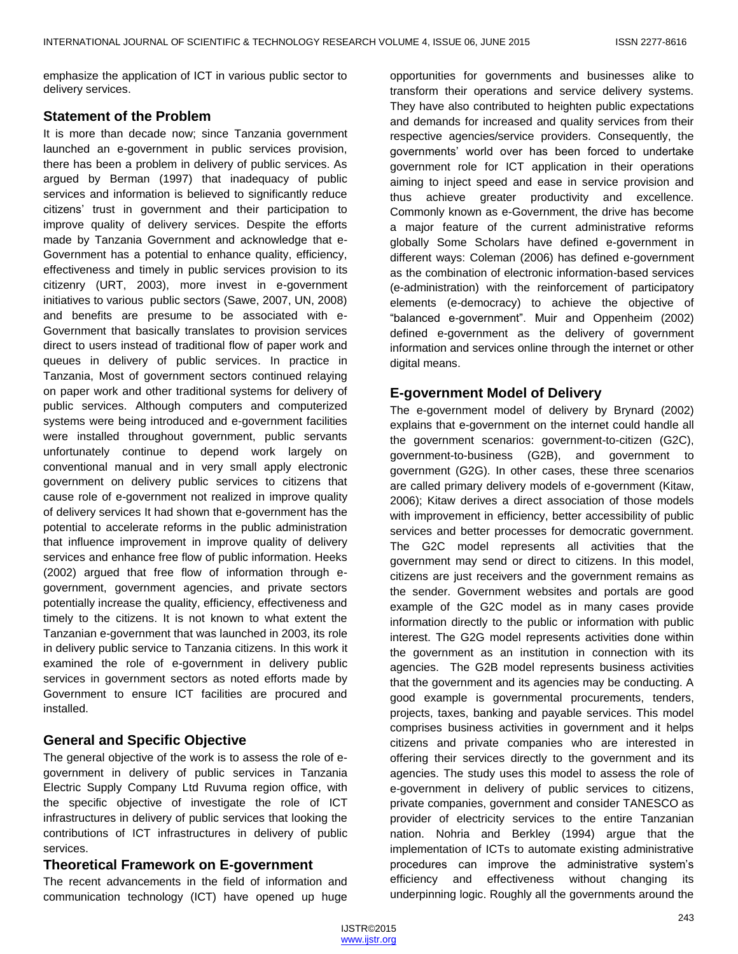emphasize the application of ICT in various public sector to delivery services.

## **Statement of the Problem**

It is more than decade now; since Tanzania government launched an e-government in public services provision, there has been a problem in delivery of public services. As argued by Berman (1997) that inadequacy of public services and information is believed to significantly reduce citizens' trust in government and their participation to improve quality of delivery services. Despite the efforts made by Tanzania Government and acknowledge that e-Government has a potential to enhance quality, efficiency, effectiveness and timely in public services provision to its citizenry (URT, 2003), more invest in e-government initiatives to various public sectors (Sawe, 2007, UN, 2008) and benefits are presume to be associated with e-Government that basically translates to provision services direct to users instead of traditional flow of paper work and queues in delivery of public services. In practice in Tanzania, Most of government sectors continued relaying on paper work and other traditional systems for delivery of public services. Although computers and computerized systems were being introduced and e-government facilities were installed throughout government, public servants unfortunately continue to depend work largely on conventional manual and in very small apply electronic government on delivery public services to citizens that cause role of e-government not realized in improve quality of delivery services It had shown that e-government has the potential to accelerate reforms in the public administration that influence improvement in improve quality of delivery services and enhance free flow of public information. Heeks (2002) argued that free flow of information through egovernment, government agencies, and private sectors potentially increase the quality, efficiency, effectiveness and timely to the citizens. It is not known to what extent the Tanzanian e-government that was launched in 2003, its role in delivery public service to Tanzania citizens. In this work it examined the role of e-government in delivery public services in government sectors as noted efforts made by Government to ensure ICT facilities are procured and installed.

# **General and Specific Objective**

The general objective of the work is to assess the role of egovernment in delivery of public services in Tanzania Electric Supply Company Ltd Ruvuma region office, with the specific objective of investigate the role of ICT infrastructures in delivery of public services that looking the contributions of ICT infrastructures in delivery of public services.

## **Theoretical Framework on E-government**

The recent advancements in the field of information and communication technology (ICT) have opened up huge

opportunities for governments and businesses alike to transform their operations and service delivery systems. They have also contributed to heighten public expectations and demands for increased and quality services from their respective agencies/service providers. Consequently, the governments' world over has been forced to undertake government role for ICT application in their operations aiming to inject speed and ease in service provision and thus achieve greater productivity and excellence. Commonly known as e-Government, the drive has become a major feature of the current administrative reforms globally Some Scholars have defined e-government in different ways: Coleman (2006) has defined e-government as the combination of electronic information-based services (e-administration) with the reinforcement of participatory elements (e-democracy) to achieve the objective of ―balanced e-government‖. Muir and Oppenheim (2002) defined e-government as the delivery of government information and services online through the internet or other digital means.

## **E-government Model of Delivery**

The e-government model of delivery by Brynard (2002) explains that e-government on the internet could handle all the government scenarios: government-to-citizen (G2C), government-to-business (G2B), and government to government (G2G). In other cases, these three scenarios are called primary delivery models of e-government (Kitaw, 2006); Kitaw derives a direct association of those models with improvement in efficiency, better accessibility of public services and better processes for democratic government. The G2C model represents all activities that the government may send or direct to citizens. In this model, citizens are just receivers and the government remains as the sender. Government websites and portals are good example of the G2C model as in many cases provide information directly to the public or information with public interest. The G2G model represents activities done within the government as an institution in connection with its agencies. The G2B model represents business activities that the government and its agencies may be conducting. A good example is governmental procurements, tenders, projects, taxes, banking and payable services. This model comprises business activities in government and it helps citizens and private companies who are interested in offering their services directly to the government and its agencies. The study uses this model to assess the role of e-government in delivery of public services to citizens, private companies, government and consider TANESCO as provider of electricity services to the entire Tanzanian nation. Nohria and Berkley (1994) argue that the implementation of ICTs to automate existing administrative procedures can improve the administrative system's efficiency and effectiveness without changing its underpinning logic. Roughly all the governments around the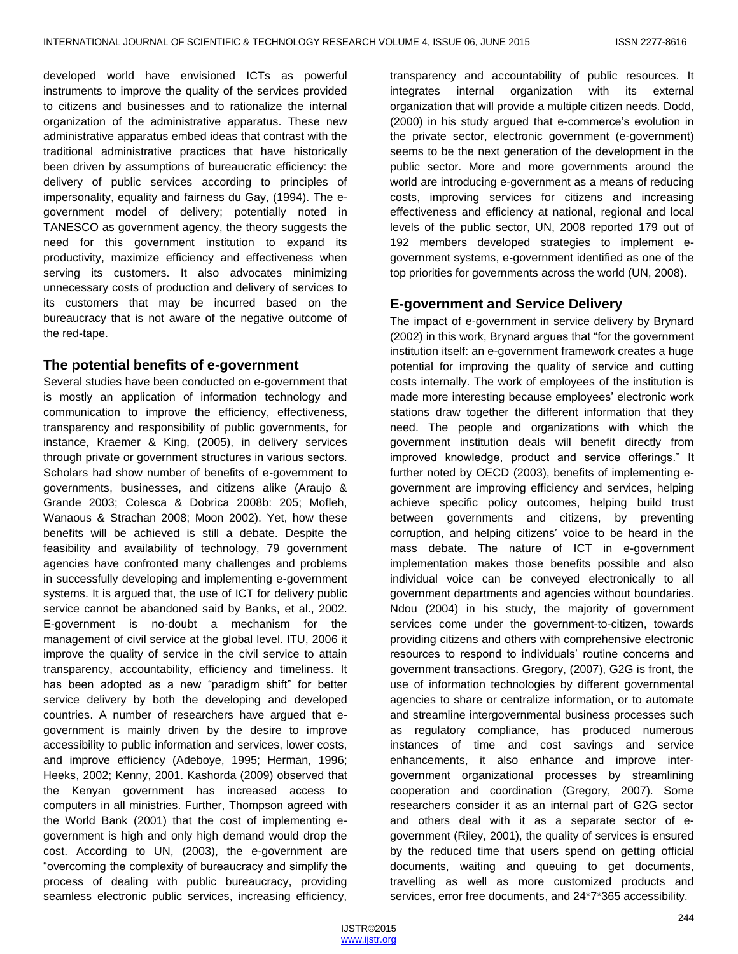developed world have envisioned ICTs as powerful instruments to improve the quality of the services provided to citizens and businesses and to rationalize the internal organization of the administrative apparatus. These new administrative apparatus embed ideas that contrast with the traditional administrative practices that have historically been driven by assumptions of bureaucratic efficiency: the delivery of public services according to principles of impersonality, equality and fairness du Gay, (1994). The egovernment model of delivery; potentially noted in TANESCO as government agency, the theory suggests the need for this government institution to expand its productivity, maximize efficiency and effectiveness when serving its customers. It also advocates minimizing unnecessary costs of production and delivery of services to its customers that may be incurred based on the bureaucracy that is not aware of the negative outcome of the red-tape.

## **The potential benefits of e-government**

Several studies have been conducted on e-government that is mostly an application of information technology and communication to improve the efficiency, effectiveness, transparency and responsibility of public governments, for instance, Kraemer & King, (2005), in delivery services through private or government structures in various sectors. Scholars had show number of benefits of e-government to governments, businesses, and citizens alike (Araujo & Grande 2003; Colesca & Dobrica 2008b: 205; Mofleh, Wanaous & Strachan 2008; Moon 2002). Yet, how these benefits will be achieved is still a debate. Despite the feasibility and availability of technology, 79 government agencies have confronted many challenges and problems in successfully developing and implementing e-government systems. It is argued that, the use of ICT for delivery public service cannot be abandoned said by Banks, et al., 2002. E-government is no-doubt a mechanism for the management of civil service at the global level. ITU, 2006 it improve the quality of service in the civil service to attain transparency, accountability, efficiency and timeliness. It has been adopted as a new "paradigm shift" for better service delivery by both the developing and developed countries. A number of researchers have argued that egovernment is mainly driven by the desire to improve accessibility to public information and services, lower costs, and improve efficiency (Adeboye, 1995; Herman, 1996; Heeks, 2002; Kenny, 2001. Kashorda (2009) observed that the Kenyan government has increased access to computers in all ministries. Further, Thompson agreed with the World Bank (2001) that the cost of implementing egovernment is high and only high demand would drop the cost. According to UN, (2003), the e-government are "overcoming the complexity of bureaucracy and simplify the process of dealing with public bureaucracy, providing seamless electronic public services, increasing efficiency,

transparency and accountability of public resources. It integrates internal organization with its external organization that will provide a multiple citizen needs. Dodd, (2000) in his study argued that e-commerce's evolution in the private sector, electronic government (e-government) seems to be the next generation of the development in the public sector. More and more governments around the world are introducing e-government as a means of reducing costs, improving services for citizens and increasing effectiveness and efficiency at national, regional and local levels of the public sector, UN, 2008 reported 179 out of 192 members developed strategies to implement egovernment systems, e-government identified as one of the top priorities for governments across the world (UN, 2008).

## **E-government and Service Delivery**

The impact of e-government in service delivery by Brynard (2002) in this work, Brynard argues that "for the government institution itself: an e-government framework creates a huge potential for improving the quality of service and cutting costs internally. The work of employees of the institution is made more interesting because employees' electronic work stations draw together the different information that they need. The people and organizations with which the government institution deals will benefit directly from improved knowledge, product and service offerings." It further noted by OECD (2003), benefits of implementing egovernment are improving efficiency and services, helping achieve specific policy outcomes, helping build trust between governments and citizens, by preventing corruption, and helping citizens' voice to be heard in the mass debate. The nature of ICT in e-government implementation makes those benefits possible and also individual voice can be conveyed electronically to all government departments and agencies without boundaries. Ndou (2004) in his study, the majority of government services come under the government-to-citizen, towards providing citizens and others with comprehensive electronic resources to respond to individuals' routine concerns and government transactions. Gregory, (2007), G2G is front, the use of information technologies by different governmental agencies to share or centralize information, or to automate and streamline intergovernmental business processes such as regulatory compliance, has produced numerous instances of time and cost savings and service enhancements, it also enhance and improve intergovernment organizational processes by streamlining cooperation and coordination (Gregory, 2007). Some researchers consider it as an internal part of G2G sector and others deal with it as a separate sector of egovernment (Riley, 2001), the quality of services is ensured by the reduced time that users spend on getting official documents, waiting and queuing to get documents, travelling as well as more customized products and services, error free documents, and 24\*7\*365 accessibility.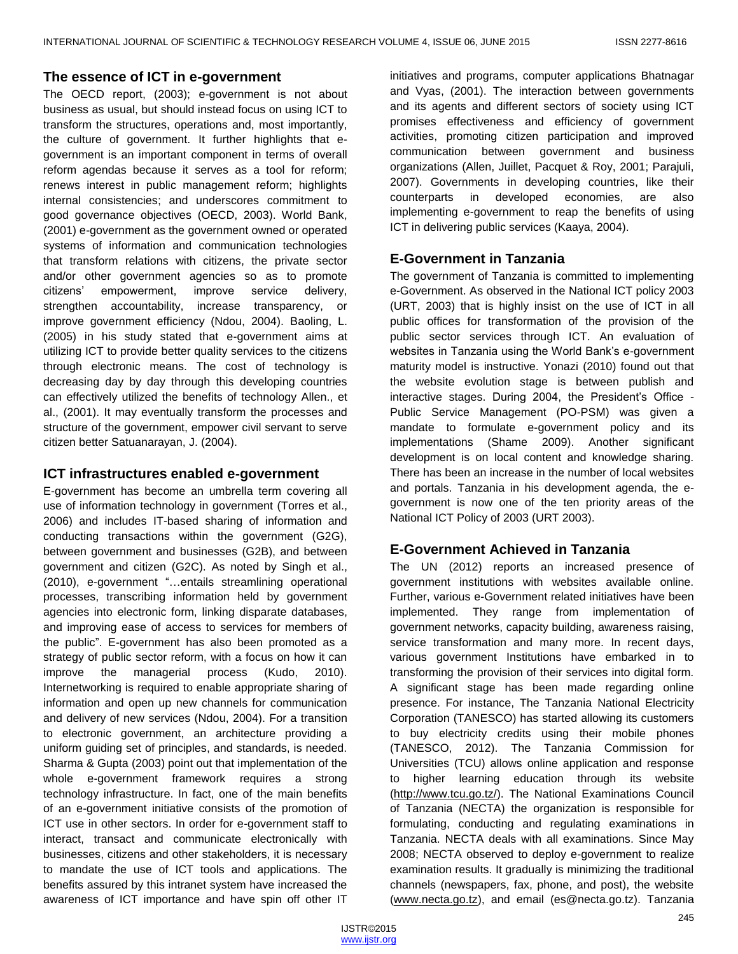## **The essence of ICT in e-government**

The OECD report, (2003); e-government is not about business as usual, but should instead focus on using ICT to transform the structures, operations and, most importantly, the culture of government. It further highlights that egovernment is an important component in terms of overall reform agendas because it serves as a tool for reform; renews interest in public management reform; highlights internal consistencies; and underscores commitment to good governance objectives (OECD, 2003). World Bank, (2001) e-government as the government owned or operated systems of information and communication technologies that transform relations with citizens, the private sector and/or other government agencies so as to promote citizens' empowerment, improve service delivery, strengthen accountability, increase transparency, or improve government efficiency (Ndou, 2004). Baoling, L. (2005) in his study stated that e-government aims at utilizing ICT to provide better quality services to the citizens through electronic means. The cost of technology is decreasing day by day through this developing countries can effectively utilized the benefits of technology Allen., et al., (2001). It may eventually transform the processes and structure of the government, empower civil servant to serve citizen better Satuanarayan, J. (2004).

## **ICT infrastructures enabled e-government**

E-government has become an umbrella term covering all use of information technology in government (Torres et al., 2006) and includes IT-based sharing of information and conducting transactions within the government (G2G), between government and businesses (G2B), and between government and citizen (G2C). As noted by Singh et al., (2010), e-government "...entails streamlining operational processes, transcribing information held by government agencies into electronic form, linking disparate databases, and improving ease of access to services for members of the public". E-government has also been promoted as a strategy of public sector reform, with a focus on how it can improve the managerial process (Kudo, 2010). Internetworking is required to enable appropriate sharing of information and open up new channels for communication and delivery of new services (Ndou, 2004). For a transition to electronic government, an architecture providing a uniform guiding set of principles, and standards, is needed. Sharma & Gupta (2003) point out that implementation of the whole e-government framework requires a strong technology infrastructure. In fact, one of the main benefits of an e-government initiative consists of the promotion of ICT use in other sectors. In order for e-government staff to interact, transact and communicate electronically with businesses, citizens and other stakeholders, it is necessary to mandate the use of ICT tools and applications. The benefits assured by this intranet system have increased the awareness of ICT importance and have spin off other IT

initiatives and programs, computer applications Bhatnagar and Vyas, (2001). The interaction between governments and its agents and different sectors of society using ICT promises effectiveness and efficiency of government activities, promoting citizen participation and improved communication between government and business organizations (Allen, Juillet, Pacquet & Roy, 2001; Parajuli, 2007). Governments in developing countries, like their counterparts in developed economies, are also implementing e-government to reap the benefits of using ICT in delivering public services (Kaaya, 2004).

## **E-Government in Tanzania**

The government of Tanzania is committed to implementing e-Government. As observed in the National ICT policy 2003 (URT, 2003) that is highly insist on the use of ICT in all public offices for transformation of the provision of the public sector services through ICT. An evaluation of websites in Tanzania using the World Bank's e-government maturity model is instructive. Yonazi (2010) found out that the website evolution stage is between publish and interactive stages. During 2004, the President's Office - Public Service Management (PO-PSM) was given a mandate to formulate e-government policy and its implementations (Shame 2009). Another significant development is on local content and knowledge sharing. There has been an increase in the number of local websites and portals. Tanzania in his development agenda, the egovernment is now one of the ten priority areas of the National ICT Policy of 2003 (URT 2003).

# **E-Government Achieved in Tanzania**

The UN (2012) reports an increased presence of government institutions with websites available online. Further, various e-Government related initiatives have been implemented. They range from implementation of government networks, capacity building, awareness raising, service transformation and many more. In recent days, various government Institutions have embarked in to transforming the provision of their services into digital form. A significant stage has been made regarding online presence. For instance, The Tanzania National Electricity Corporation (TANESCO) has started allowing its customers to buy electricity credits using their mobile phones (TANESCO, 2012). The Tanzania Commission for Universities (TCU) allows online application and response to higher learning education through its website [\(http://www.tcu.go.tz/\)](http://www.tcu.go.tz/). The National Examinations Council of Tanzania (NECTA) the organization is responsible for formulating, conducting and regulating examinations in Tanzania. NECTA deals with all examinations. Since May 2008; NECTA observed to deploy e-government to realize examination results. It gradually is minimizing the traditional channels (newspapers, fax, phone, and post), the website [\(www.necta.go.tz\)](http://www.necta.go.tz/), and email (es@necta.go.tz). Tanzania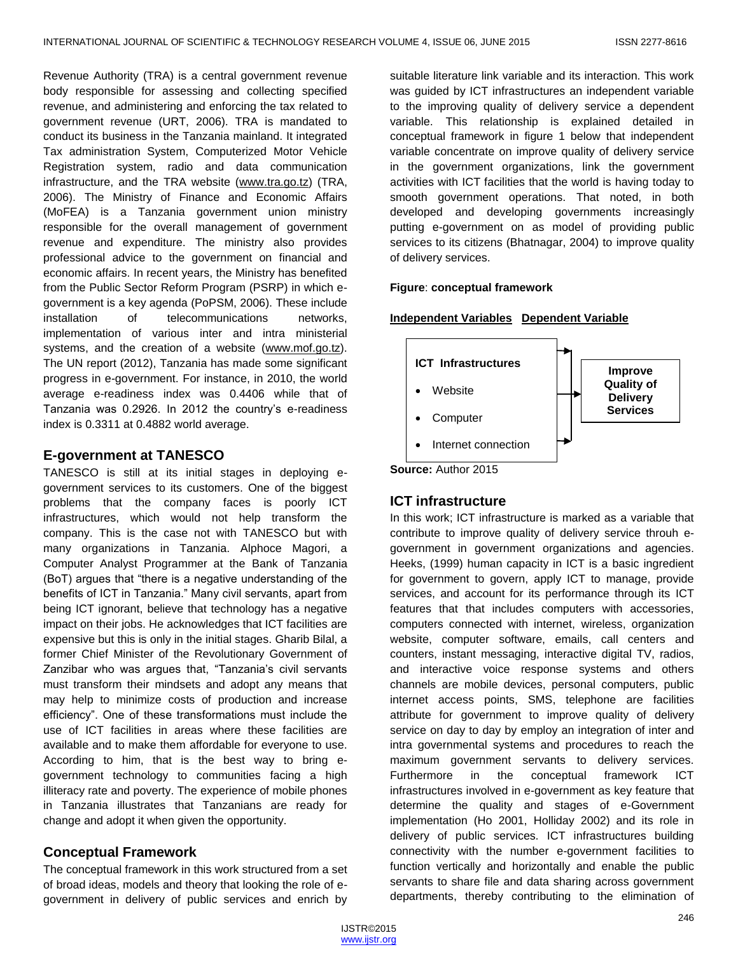Revenue Authority (TRA) is a central government revenue body responsible for assessing and collecting specified revenue, and administering and enforcing the tax related to government revenue (URT, 2006). TRA is mandated to conduct its business in the Tanzania mainland. It integrated Tax administration System, Computerized Motor Vehicle Registration system, radio and data communication infrastructure, and the TRA website [\(www.tra.go.tz\)](http://www.tra.go.tz/) (TRA, 2006). The Ministry of Finance and Economic Affairs (MoFEA) is a Tanzania government union ministry responsible for the overall management of government revenue and expenditure. The ministry also provides professional advice to the government on financial and economic affairs. In recent years, the Ministry has benefited from the Public Sector Reform Program (PSRP) in which egovernment is a key agenda (PoPSM, 2006). These include installation of telecommunications networks, implementation of various inter and intra ministerial systems, and the creation of a website [\(www.mof.go.tz\)](http://www.mof.go.tz/). The UN report (2012), Tanzania has made some significant progress in e-government. For instance, in 2010, the world average e-readiness index was 0.4406 while that of Tanzania was 0.2926. In 2012 the country's e-readiness index is 0.3311 at 0.4882 world average.

# **E-government at TANESCO**

TANESCO is still at its initial stages in deploying egovernment services to its customers. One of the biggest problems that the company faces is poorly ICT infrastructures, which would not help transform the company. This is the case not with TANESCO but with many organizations in Tanzania. Alphoce Magori, a Computer Analyst Programmer at the Bank of Tanzania (BoT) argues that "there is a negative understanding of the benefits of ICT in Tanzania." Many civil servants, apart from being ICT ignorant, believe that technology has a negative impact on their jobs. He acknowledges that ICT facilities are expensive but this is only in the initial stages. Gharib Bilal, a former Chief Minister of the Revolutionary Government of Zanzibar who was argues that, "Tanzania's civil servants must transform their mindsets and adopt any means that may help to minimize costs of production and increase efficiency". One of these transformations must include the use of ICT facilities in areas where these facilities are available and to make them affordable for everyone to use. According to him, that is the best way to bring egovernment technology to communities facing a high illiteracy rate and poverty. The experience of mobile phones in Tanzania illustrates that Tanzanians are ready for change and adopt it when given the opportunity.

# **Conceptual Framework**

The conceptual framework in this work structured from a set of broad ideas, models and theory that looking the role of egovernment in delivery of public services and enrich by suitable literature link variable and its interaction. This work was guided by ICT infrastructures an independent variable to the improving quality of delivery service a dependent variable. This relationship is explained detailed in conceptual framework in figure 1 below that independent variable concentrate on improve quality of delivery service in the government organizations, link the government activities with ICT facilities that the world is having today to smooth government operations. That noted, in both developed and developing governments increasingly putting e-government on as model of providing public services to its citizens (Bhatnagar, 2004) to improve quality of delivery services.

### **Figure**: **conceptual framework**

### **Independent Variables Dependent Variable**



# **ICT infrastructure**

In this work; ICT infrastructure is marked as a variable that contribute to improve quality of delivery service throuh egovernment in government organizations and agencies. Heeks, (1999) human capacity in ICT is a basic ingredient for government to govern, apply ICT to manage, provide services, and account for its performance through its ICT features that that includes computers with accessories, computers connected with internet, wireless, organization website, computer software, emails, call centers and counters, instant messaging, interactive digital TV, radios, and interactive voice response systems and others channels are mobile devices, personal computers, public internet access points, SMS, telephone are facilities attribute for government to improve quality of delivery service on day to day by employ an integration of inter and intra governmental systems and procedures to reach the maximum government servants to delivery services. Furthermore in the conceptual framework ICT infrastructures involved in e-government as key feature that determine the quality and stages of e-Government implementation (Ho 2001, Holliday 2002) and its role in delivery of public services. ICT infrastructures building connectivity with the number e-government facilities to function vertically and horizontally and enable the public servants to share file and data sharing across government departments, thereby contributing to the elimination of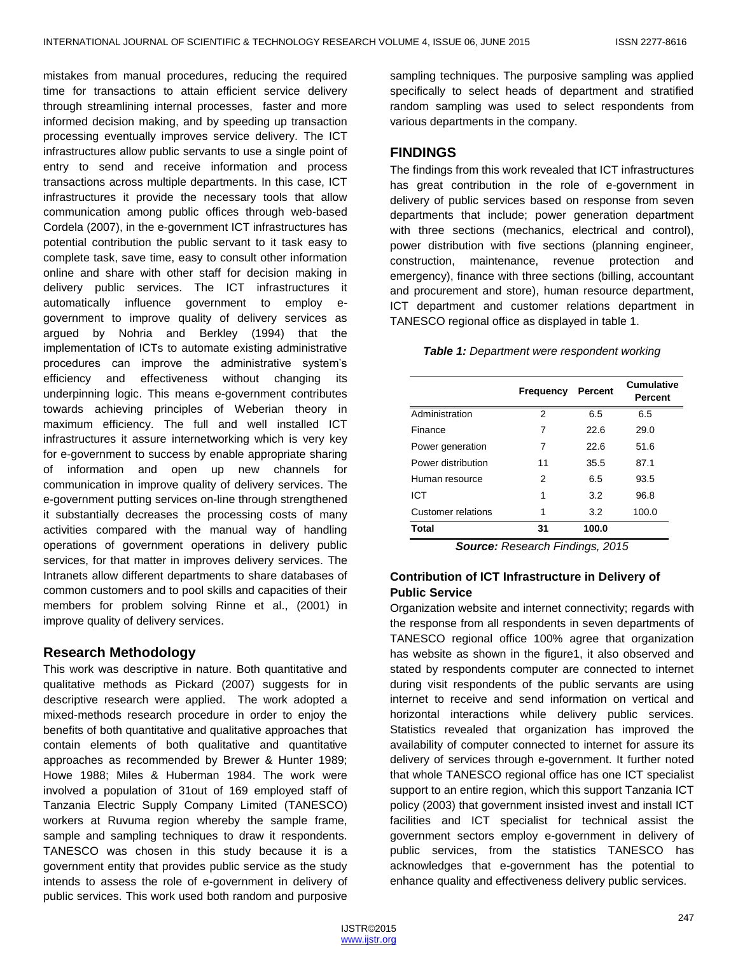mistakes from manual procedures, reducing the required time for transactions to attain efficient service delivery through streamlining internal processes, faster and more informed decision making, and by speeding up transaction processing eventually improves service delivery. The ICT infrastructures allow public servants to use a single point of entry to send and receive information and process transactions across multiple departments. In this case, ICT infrastructures it provide the necessary tools that allow communication among public offices through web-based Cordela (2007), in the e-government ICT infrastructures has potential contribution the public servant to it task easy to complete task, save time, easy to consult other information online and share with other staff for decision making in delivery public services. The ICT infrastructures it automatically influence government to employ egovernment to improve quality of delivery services as argued by Nohria and Berkley (1994) that the implementation of ICTs to automate existing administrative procedures can improve the administrative system's efficiency and effectiveness without changing its underpinning logic. This means e-government contributes towards achieving principles of Weberian theory in maximum efficiency. The full and well installed ICT infrastructures it assure internetworking which is very key for e-government to success by enable appropriate sharing of information and open up new channels for communication in improve quality of delivery services. The e-government putting services on-line through strengthened it substantially decreases the processing costs of many activities compared with the manual way of handling operations of government operations in delivery public services, for that matter in improves delivery services. The Intranets allow different departments to share databases of common customers and to pool skills and capacities of their members for problem solving Rinne et al., (2001) in improve quality of delivery services.

## **Research Methodology**

This work was descriptive in nature. Both quantitative and qualitative methods as Pickard (2007) suggests for in descriptive research were applied. The work adopted a mixed-methods research procedure in order to enjoy the benefits of both quantitative and qualitative approaches that contain elements of both qualitative and quantitative approaches as recommended by Brewer & Hunter 1989; Howe 1988; Miles & Huberman 1984. The work were involved a population of 31out of 169 employed staff of Tanzania Electric Supply Company Limited (TANESCO) workers at Ruvuma region whereby the sample frame, sample and sampling techniques to draw it respondents. TANESCO was chosen in this study because it is a government entity that provides public service as the study intends to assess the role of e-government in delivery of public services. This work used both random and purposive

sampling techniques. The purposive sampling was applied specifically to select heads of department and stratified random sampling was used to select respondents from various departments in the company.

## **FINDINGS**

The findings from this work revealed that ICT infrastructures has great contribution in the role of e-government in delivery of public services based on response from seven departments that include; power generation department with three sections (mechanics, electrical and control), power distribution with five sections (planning engineer, construction, maintenance, revenue protection and emergency), finance with three sections (billing, accountant and procurement and store), human resource department, ICT department and customer relations department in TANESCO regional office as displayed in table 1.

#### *Table 1: Department were respondent working*

|                    | Frequency | Percent | <b>Cumulative</b><br>Percent |
|--------------------|-----------|---------|------------------------------|
| Administration     | 2         | 6.5     | 6.5                          |
| Finance            | 7         | 22.6    | 29.0                         |
| Power generation   | 7         | 22.6    | 51.6                         |
| Power distribution | 11        | 35.5    | 87.1                         |
| Human resource     | 2         | 6.5     | 93.5                         |
| ICT                | 1         | 3.2     | 96.8                         |
| Customer relations | 1         | 3.2     | 100.0                        |
| Total              | 31        | 100.0   |                              |

*Source: Research Findings, 2015*

## **Contribution of ICT Infrastructure in Delivery of Public Service**

Organization website and internet connectivity; regards with the response from all respondents in seven departments of TANESCO regional office 100% agree that organization has website as shown in the figure1, it also observed and stated by respondents computer are connected to internet during visit respondents of the public servants are using internet to receive and send information on vertical and horizontal interactions while delivery public services. Statistics revealed that organization has improved the availability of computer connected to internet for assure its delivery of services through e-government. It further noted that whole TANESCO regional office has one ICT specialist support to an entire region, which this support Tanzania ICT policy (2003) that government insisted invest and install ICT facilities and ICT specialist for technical assist the government sectors employ e-government in delivery of public services, from the statistics TANESCO has acknowledges that e-government has the potential to enhance quality and effectiveness delivery public services.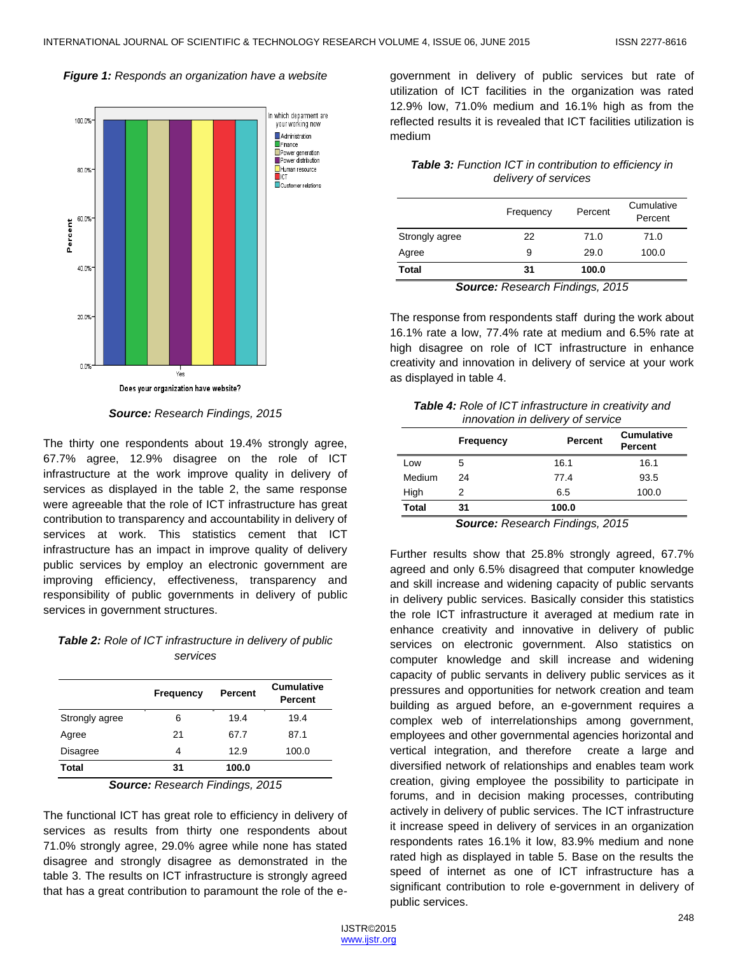#### *Figure 1: Responds an organization have a website*



*Source: Research Findings, 2015*

The thirty one respondents about 19.4% strongly agree, 67.7% agree, 12.9% disagree on the role of ICT infrastructure at the work improve quality in delivery of services as displayed in the table 2, the same response were agreeable that the role of ICT infrastructure has great contribution to transparency and accountability in delivery of services at work. This statistics cement that ICT infrastructure has an impact in improve quality of delivery public services by employ an electronic government are improving efficiency, effectiveness, transparency and responsibility of public governments in delivery of public services in government structures.

## *Table 2: Role of ICT infrastructure in delivery of public services*

|                 | <b>Frequency</b> | Percent | <b>Cumulative</b><br><b>Percent</b> |
|-----------------|------------------|---------|-------------------------------------|
| Strongly agree  | 6                | 19.4    | 19.4                                |
| Agree           | 21               | 67.7    | 87.1                                |
| <b>Disagree</b> | 4                | 12.9    | 100.0                               |
| <b>Total</b>    | 31               | 100.0   |                                     |

*Source: Research Findings, 2015*

The functional ICT has great role to efficiency in delivery of services as results from thirty one respondents about 71.0% strongly agree, 29.0% agree while none has stated disagree and strongly disagree as demonstrated in the table 3. The results on ICT infrastructure is strongly agreed that has a great contribution to paramount the role of the e-

government in delivery of public services but rate of utilization of ICT facilities in the organization was rated 12.9% low, 71.0% medium and 16.1% high as from the reflected results it is revealed that ICT facilities utilization is medium

### *Table 3: Function ICT in contribution to efficiency in delivery of services*

|                | Frequency | Percent | Cumulative<br>Percent |
|----------------|-----------|---------|-----------------------|
| Strongly agree | 22        | 71.0    | 71.0                  |
| Agree          | 9         | 29.0    | 100.0                 |
| Total          | 31        | 100.0   |                       |

*Source: Research Findings, 2015*

The response from respondents staff during the work about 16.1% rate a low, 77.4% rate at medium and 6.5% rate at high disagree on role of ICT infrastructure in enhance creativity and innovation in delivery of service at your work as displayed in table 4.

| <b>Table 4:</b> Role of ICT infrastructure in creativity and |
|--------------------------------------------------------------|
| innovation in delivery of service                            |

|              | Frequency | Percent                          | <b>Cumulative</b><br>Percent |
|--------------|-----------|----------------------------------|------------------------------|
| Low          | 5         | 16.1                             | 16.1                         |
| Medium       | 24        | 77.4                             | 93.5                         |
| High         | 2         | 6.5                              | 100.0                        |
| <b>Total</b> | 31        | 100.0                            |                              |
|              |           | Course: Desarrol Finalisms, OOAF |                              |

*Source: Research Findings, 2015*

Further results show that 25.8% strongly agreed, 67.7% agreed and only 6.5% disagreed that computer knowledge and skill increase and widening capacity of public servants in delivery public services. Basically consider this statistics the role ICT infrastructure it averaged at medium rate in enhance creativity and innovative in delivery of public services on electronic government. Also statistics on computer knowledge and skill increase and widening capacity of public servants in delivery public services as it pressures and opportunities for network creation and team building as argued before, an e-government requires a complex web of interrelationships among government, employees and other governmental agencies horizontal and vertical integration, and therefore create a large and diversified network of relationships and enables team work creation, giving employee the possibility to participate in forums, and in decision making processes, contributing actively in delivery of public services. The ICT infrastructure it increase speed in delivery of services in an organization respondents rates 16.1% it low, 83.9% medium and none rated high as displayed in table 5. Base on the results the speed of internet as one of ICT infrastructure has a significant contribution to role e-government in delivery of public services.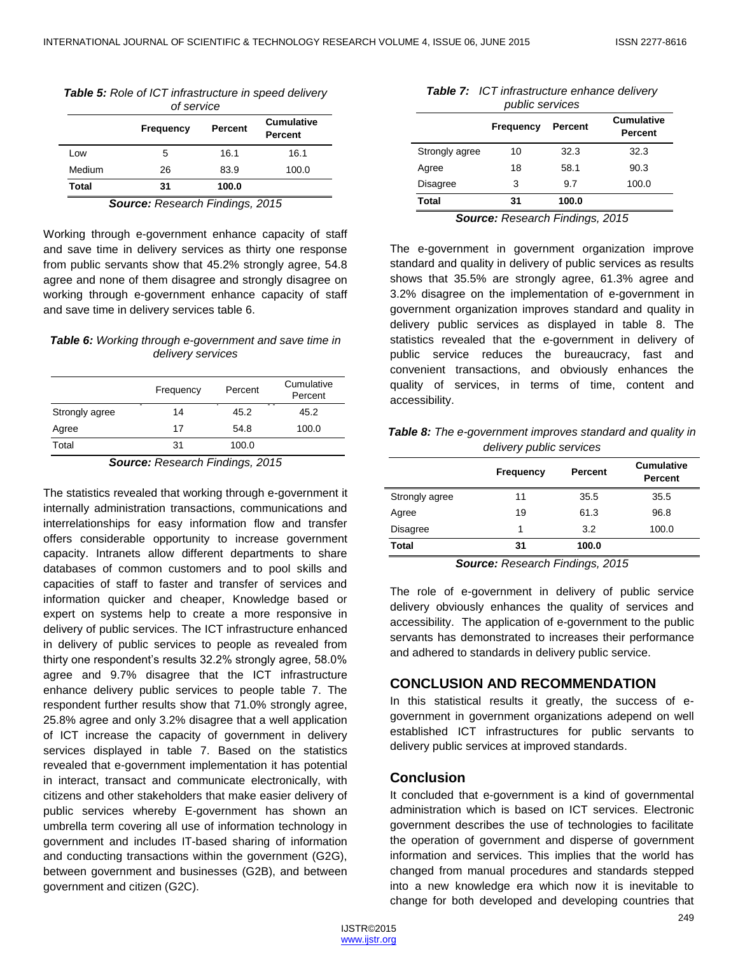| Table 5: Role of ICT infrastructure in speed delivery |   |  |
|-------------------------------------------------------|---|--|
|                                                       | . |  |

| of service                                                         |    |       |       |  |
|--------------------------------------------------------------------|----|-------|-------|--|
| <b>Cumulative</b><br><b>Percent</b><br><b>Frequency</b><br>Percent |    |       |       |  |
| Low                                                                | 5  | 16.1  | 16.1  |  |
| Medium                                                             | 26 | 83.9  | 100.0 |  |
| Total                                                              | 31 | 100.0 |       |  |

*Source: Research Findings, 2015*

Working through e-government enhance capacity of staff and save time in delivery services as thirty one response from public servants show that 45.2% strongly agree, 54.8 agree and none of them disagree and strongly disagree on working through e-government enhance capacity of staff and save time in delivery services table 6.

#### *Table 6: Working through e-government and save time in delivery services*

|                | Frequency | Percent | Cumulative<br>Percent |
|----------------|-----------|---------|-----------------------|
| Strongly agree | 14        | 45.2    | 45.2                  |
| Agree          | 17        | 54.8    | 100.0                 |
| Total          | 31        | 100.0   |                       |

#### *Source: Research Findings, 2015*

The statistics revealed that working through e-government it internally administration transactions, communications and interrelationships for easy information flow and transfer offers considerable opportunity to increase government capacity. Intranets allow different departments to share databases of common customers and to pool skills and capacities of staff to faster and transfer of services and information quicker and cheaper, Knowledge based or expert on systems help to create a more responsive in delivery of public services. The ICT infrastructure enhanced in delivery of public services to people as revealed from thirty one respondent's results 32.2% strongly agree, 58.0% agree and 9.7% disagree that the ICT infrastructure enhance delivery public services to people table 7. The respondent further results show that 71.0% strongly agree, 25.8% agree and only 3.2% disagree that a well application of ICT increase the capacity of government in delivery services displayed in table 7. Based on the statistics revealed that e-government implementation it has potential in interact, transact and communicate electronically, with citizens and other stakeholders that make easier delivery of public services whereby E-government has shown an umbrella term covering all use of information technology in government and includes IT-based sharing of information and conducting transactions within the government (G2G), between government and businesses (G2B), and between government and citizen (G2C).

| <b>Table 7:</b> ICT infrastructure enhance delivery |
|-----------------------------------------------------|
| public services                                     |

|                 | <b>Frequency</b> | Percent | <b>Cumulative</b><br>Percent |
|-----------------|------------------|---------|------------------------------|
| Strongly agree  | 10               | 32.3    | 32.3                         |
| Agree           | 18               | 58.1    | 90.3                         |
| <b>Disagree</b> | 3                | 9.7     | 100.0                        |
| Total           | 31               | 100.0   |                              |

*Source: Research Findings, 2015*

The e-government in government organization improve standard and quality in delivery of public services as results shows that 35.5% are strongly agree, 61.3% agree and 3.2% disagree on the implementation of e-government in government organization improves standard and quality in delivery public services as displayed in table 8. The statistics revealed that the e-government in delivery of public service reduces the bureaucracy, fast and convenient transactions, and obviously enhances the quality of services, in terms of time, content and accessibility.

*Table 8: The e-government improves standard and quality in delivery public services*

|                 | <b>Frequency</b> | <b>Percent</b> | <b>Cumulative</b><br>Percent |
|-----------------|------------------|----------------|------------------------------|
| Strongly agree  | 11               | 35.5           | 35.5                         |
| Agree           | 19               | 61.3           | 96.8                         |
| <b>Disagree</b> | 1                | 3.2            | 100.0                        |
| Total           | 31               | 100.0          |                              |

*Source: Research Findings, 2015*

The role of e-government in delivery of public service delivery obviously enhances the quality of services and accessibility. The application of e-government to the public servants has demonstrated to increases their performance and adhered to standards in delivery public service.

## **CONCLUSION AND RECOMMENDATION**

In this statistical results it greatly, the success of egovernment in government organizations adepend on well established ICT infrastructures for public servants to delivery public services at improved standards.

## **Conclusion**

It concluded that e-government is a kind of governmental administration which is based on ICT services. Electronic government describes the use of technologies to facilitate the operation of government and disperse of government information and services. This implies that the world has changed from manual procedures and standards stepped into a new knowledge era which now it is inevitable to change for both developed and developing countries that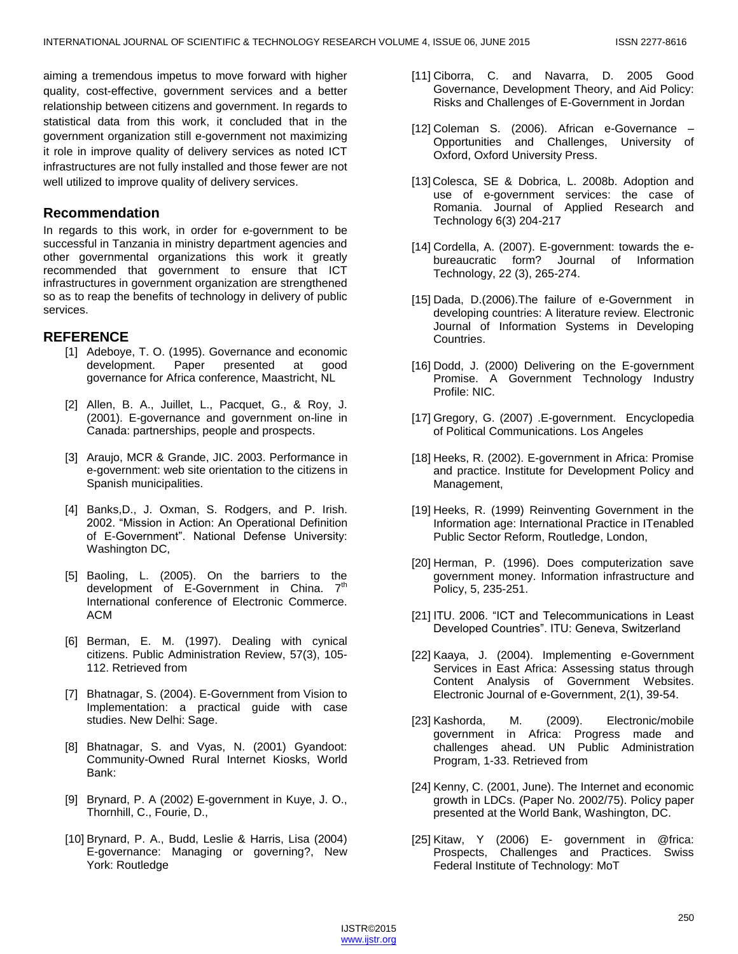aiming a tremendous impetus to move forward with higher quality, cost-effective, government services and a better relationship between citizens and government. In regards to statistical data from this work, it concluded that in the government organization still e-government not maximizing it role in improve quality of delivery services as noted ICT infrastructures are not fully installed and those fewer are not well utilized to improve quality of delivery services.

## **Recommendation**

In regards to this work, in order for e-government to be successful in Tanzania in ministry department agencies and other governmental organizations this work it greatly recommended that government to ensure that ICT infrastructures in government organization are strengthened so as to reap the benefits of technology in delivery of public services.

## **REFERENCE**

- [1] Adeboye, T. O. (1995). Governance and economic development. Paper presented at good governance for Africa conference, Maastricht, NL
- [2] Allen, B. A., Juillet, L., Pacquet, G., & Roy, J. (2001). E-governance and government on-line in Canada: partnerships, people and prospects.
- [3] Araujo, MCR & Grande, JIC. 2003. Performance in e-government: web site orientation to the citizens in Spanish municipalities.
- [4] Banks,D., J. Oxman, S. Rodgers, and P. Irish. 2002. "Mission in Action: An Operational Definition of E-Government". National Defense University: Washington DC,
- [5] Baoling, L. (2005). On the barriers to the development of E-Government in China. 7<sup>th</sup> International conference of Electronic Commerce. ACM
- [6] Berman, E. M. (1997). Dealing with cynical citizens. Public Administration Review, 57(3), 105- 112. Retrieved from
- [7] Bhatnagar, S. (2004). E-Government from Vision to Implementation: a practical guide with case studies. New Delhi: Sage.
- [8] Bhatnagar, S. and Vyas, N. (2001) Gyandoot: Community-Owned Rural Internet Kiosks, World Bank:
- [9] Brynard, P. A (2002) E-government in Kuye, J. O., Thornhill, C., Fourie, D.,
- [10] Brynard, P. A., Budd, Leslie & Harris, Lisa (2004) E-governance: Managing or governing?, New York: Routledge
- [11] Ciborra, C. and Navarra, D. 2005 Good Governance, Development Theory, and Aid Policy: Risks and Challenges of E-Government in Jordan
- [12] Coleman S. (2006). African e-Governance Opportunities and Challenges, University of Oxford, Oxford University Press.
- [13] Colesca, SE & Dobrica, L. 2008b. Adoption and use of e-government services: the case of Romania. Journal of Applied Research and Technology 6(3) 204-217
- [14] Cordella, A. (2007). E-government: towards the ebureaucratic form? Journal of Information Technology, 22 (3), 265-274.
- [15] Dada, D.(2006). The failure of e-Government in developing countries: A literature review. Electronic Journal of Information Systems in Developing Countries.
- [16] Dodd, J. (2000) Delivering on the E-government Promise. A Government Technology Industry Profile: NIC.
- [17] Gregory, G. (2007) .E-government. Encyclopedia of Political Communications. Los Angeles
- [18] Heeks, R. (2002). E-government in Africa: Promise and practice. Institute for Development Policy and Management,
- [19] Heeks, R. (1999) Reinventing Government in the Information age: International Practice in ITenabled Public Sector Reform, Routledge, London,
- [20] Herman, P. (1996). Does computerization save government money. Information infrastructure and Policy, 5, 235-251.
- [21] ITU. 2006. "ICT and Telecommunications in Least Developed Countries". ITU: Geneva, Switzerland
- [22] Kaaya, J. (2004). Implementing e-Government Services in East Africa: Assessing status through Content Analysis of Government Websites. Electronic Journal of e-Government, 2(1), 39-54.
- [23] Kashorda, M. (2009). Electronic/mobile government in Africa: Progress made and challenges ahead. UN Public Administration Program, 1-33. Retrieved from
- [24] Kenny, C. (2001, June). The Internet and economic growth in LDCs. (Paper No. 2002/75). Policy paper presented at the World Bank, Washington, DC.
- [25] Kitaw, Y (2006) E- government in @frica: Prospects, Challenges and Practices. Swiss Federal Institute of Technology: MoT